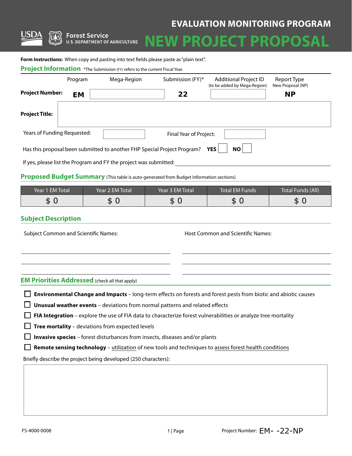# **EVALUATION MONITORING PROGRAM**



**Forest Service U.S. DEPARTMENT OF AGRICULTURE** 

# **PROJECT PROPO**

Form Instructions: When copy and pasting into text fields please paste as "plain text".

| <b>Project Information</b> *The Submission (FY) refers to the current Fiscal Year. |           |                                                                          |                        |                                                       |                                  |  |  |
|------------------------------------------------------------------------------------|-----------|--------------------------------------------------------------------------|------------------------|-------------------------------------------------------|----------------------------------|--|--|
|                                                                                    | Program   | Mega-Region                                                              | Submission (FY)*       | Additional Project ID<br>(to be added by Mega-Region) | Report Type<br>New Proposal (NP) |  |  |
| <b>Project Number:</b>                                                             | <b>EM</b> |                                                                          | 22                     |                                                       | <b>NP</b>                        |  |  |
| <b>Project Title:</b>                                                              |           |                                                                          |                        |                                                       |                                  |  |  |
| Years of Funding Requested:                                                        |           |                                                                          | Final Year of Project: |                                                       |                                  |  |  |
|                                                                                    |           | Has this proposal been submitted to another FHP Special Project Program? |                        | <b>NO</b><br><b>YES</b>                               |                                  |  |  |

If yes, please list the Program and FY the project was submitted:

#### **Proposed Budget Summary** (This table is auto-generated from Budget Information sections)

| Year 1 EM Total | Year 2 EM Total | Year 3 EM Total | Total EM Funds' | Total Funds (All) |
|-----------------|-----------------|-----------------|-----------------|-------------------|
| س               | D.              | D.              | æ<br>.D.        | æ<br>æ.           |

#### **Subject Description**

Subject Common and Scientific Names: The Subject Common and Scientific Names:

#### **EM Priorities Addressed** (check all that apply)

**Environmental Change and Impacts** – long-term effects on forests and forest pests from biotic and abiotic causes

**Unusual weather events** – deviations from normal patterns and related effects

**FIA Integration** – explore the use of FIA data to characterize forest vulnerabilities or analyze tree mortality

 $\Box$  **Tree mortality** – deviations from expected levels

**Invasive species** – forest disturbances from insects, diseases and/or plants

**Remote sensing technology** – utilization of new tools and techniques to assess forest health conditions

Briefly describe the project being developed (250 characters):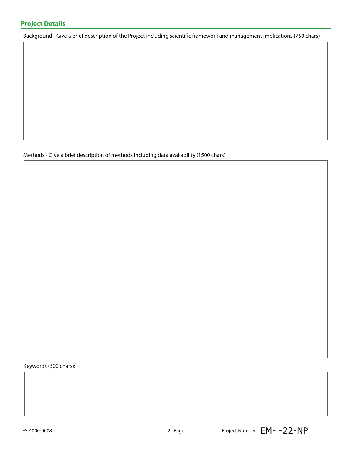Background - Give a brief description of the Project including scientific framework and management implications (750 chars)

Methods - Give a brief description of methods including data availability (1500 chars)

Keywords (300 chars):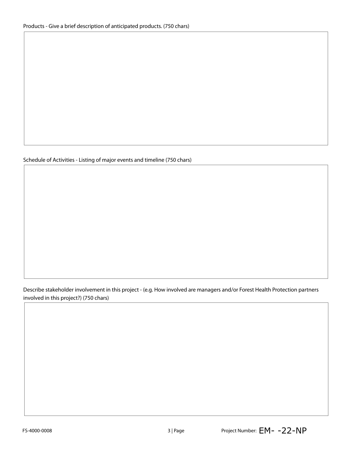#### Schedule of Activities - Listing of major events and timeline (750 chars)

Describe stakeholder involvement in this project - (e.g. How involved are managers and/or Forest Health Protection partners involved in this project?) (750 chars)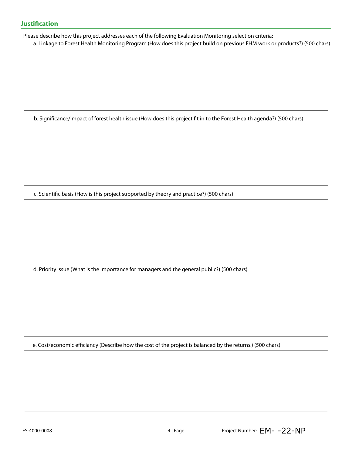Please describe how this project addresses each of the following Evaluation Monitoring selection criteria:

a. Linkage to Forest Health Monitoring Program (How does this project build on previous FHM work or products?) (500 chars)

b. Significance/Impact of forest health issue (How does this project fit in to the Forest Health agenda?) (500 chars)

c. Scientific basis (How is this project supported by theory and practice?) (500 chars)

d. Priority issue (What is the importance for managers and the general public?) (500 chars)

e. Cost/economic efficiancy (Describe how the cost of the project is balanced by the returns.) (500 chars)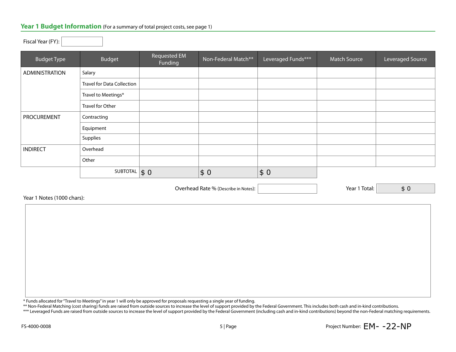#### Year 1 Budget Information (For a summary of total project costs, see page 1)

| <b>Budget Type</b>    | <b>Budget</b>                     | Requested EM<br>Funding | Non-Federal Match** | Leveraged Funds*** | <b>Match Source</b> | Leveraged Source |
|-----------------------|-----------------------------------|-------------------------|---------------------|--------------------|---------------------|------------------|
| <b>ADMINISTRATION</b> | Salary                            |                         |                     |                    |                     |                  |
|                       | <b>Travel for Data Collection</b> |                         |                     |                    |                     |                  |
|                       | Travel to Meetings*               |                         |                     |                    |                     |                  |
|                       | Travel for Other                  |                         |                     |                    |                     |                  |
| PROCUREMENT           | Contracting                       |                         |                     |                    |                     |                  |
|                       | Equipment                         |                         |                     |                    |                     |                  |
|                       | Supplies                          |                         |                     |                    |                     |                  |
| <b>INDIRECT</b>       | Overhead                          |                         |                     |                    |                     |                  |
|                       | Other                             |                         |                     |                    |                     |                  |
|                       | SUBTOTAL $\vert \$ 0 \vert$       |                         | \$0                 | \$0                |                     |                  |

Overhead Rate % (Describe in Notes):  $\vert$  (Secretary 2011) 7 | Year 1 Total:

\$ 0

Year 1 Notes (1000 chars):

Fiscal Year (FY):

\* Funds allocated for "Travel to Meetings" in year 1 will only be approved for proposals requesting a single year of funding.

\*\* Non-Federal Matching (cost sharing) funds are raised from outside sources to increase the level of support provided by the Federal Government. This includes both cash and in-kind contributions.

\*\*\* Leveraged Funds are raised from outside sources to increase the level of support provided by the Federal Government (including cash and in-kind contributions) beyond the non-Federal matching requirements.

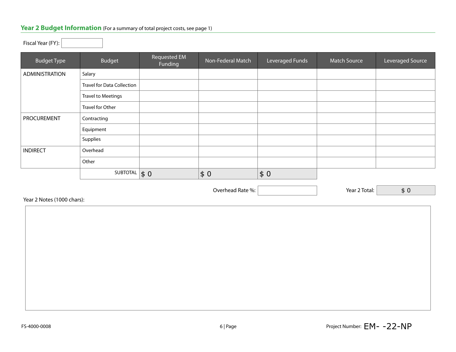# **Year 2 Budget Information** (For a summary of total project costs, see page 1)

Fiscal Year (FY):

| <b>Budget Type</b> | Budget                            | Requested EM<br>Funding | Non-Federal Match | Leveraged Funds | <b>Match Source</b> | Leveraged Source |
|--------------------|-----------------------------------|-------------------------|-------------------|-----------------|---------------------|------------------|
| ADMINISTRATION     | Salary                            |                         |                   |                 |                     |                  |
|                    | <b>Travel for Data Collection</b> |                         |                   |                 |                     |                  |
|                    | <b>Travel to Meetings</b>         |                         |                   |                 |                     |                  |
|                    | Travel for Other                  |                         |                   |                 |                     |                  |
| <b>PROCUREMENT</b> | Contracting                       |                         |                   |                 |                     |                  |
|                    | Equipment                         |                         |                   |                 |                     |                  |
|                    | Supplies                          |                         |                   |                 |                     |                  |
| <b>INDIRECT</b>    | Overhead                          |                         |                   |                 |                     |                  |
|                    | Other                             |                         |                   |                 |                     |                  |
|                    | SUBTOTAL                          | $\vert \xi \vert$       | \$0               | \$0             |                     |                  |

Overhead Rate %:  $\vert$  Year 2 Total:

| ear 2 Notes (1000 chars): |  |
|---------------------------|--|
|                           |  |
|                           |  |
|                           |  |
|                           |  |
|                           |  |
|                           |  |
|                           |  |
|                           |  |
|                           |  |
|                           |  |
|                           |  |
|                           |  |
|                           |  |

\$ 0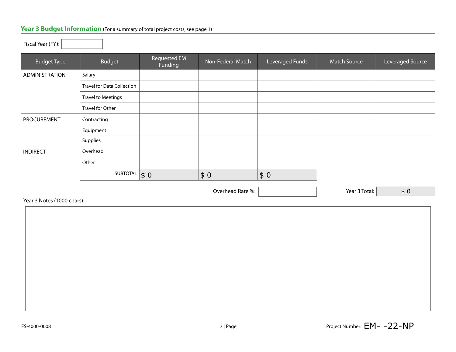## **Year 3 Budget Information** (For a summary of total project costs, see page 1)

| <b>Budget Type</b> | <b>Budget</b>                     | Requested EM<br>Funding | Non-Federal Match | Leveraged Funds | <b>Match Source</b> | Leveraged Source |
|--------------------|-----------------------------------|-------------------------|-------------------|-----------------|---------------------|------------------|
| ADMINISTRATION     | Salary                            |                         |                   |                 |                     |                  |
|                    | <b>Travel for Data Collection</b> |                         |                   |                 |                     |                  |
|                    | <b>Travel to Meetings</b>         |                         |                   |                 |                     |                  |
|                    | Travel for Other                  |                         |                   |                 |                     |                  |
| <b>PROCUREMENT</b> | Contracting                       |                         |                   |                 |                     |                  |
|                    | Equipment                         |                         |                   |                 |                     |                  |
|                    | Supplies                          |                         |                   |                 |                     |                  |
| <b>INDIRECT</b>    | Overhead                          |                         |                   |                 |                     |                  |
|                    | Other                             |                         |                   |                 |                     |                  |
|                    | SUBTOTAL                          | $\vert \$ 0$            | \$0               | \$0             |                     |                  |

Overhead Rate %: **We are 3 Total:** Year 3 Total:

Year 3 Notes (1000 chars):

\$ 0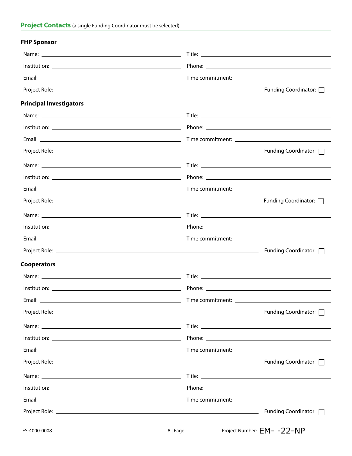### **FHP Sponsor**

| <b>Principal Investigators</b> |                         |
|--------------------------------|-------------------------|
|                                |                         |
|                                |                         |
|                                |                         |
|                                |                         |
|                                |                         |
|                                |                         |
|                                |                         |
|                                |                         |
|                                |                         |
|                                |                         |
|                                |                         |
|                                |                         |
| <b>Cooperators</b>             |                         |
|                                |                         |
|                                |                         |
|                                |                         |
|                                |                         |
|                                |                         |
|                                |                         |
|                                |                         |
|                                |                         |
|                                |                         |
|                                |                         |
|                                |                         |
|                                | Funding Coordinator: \[ |